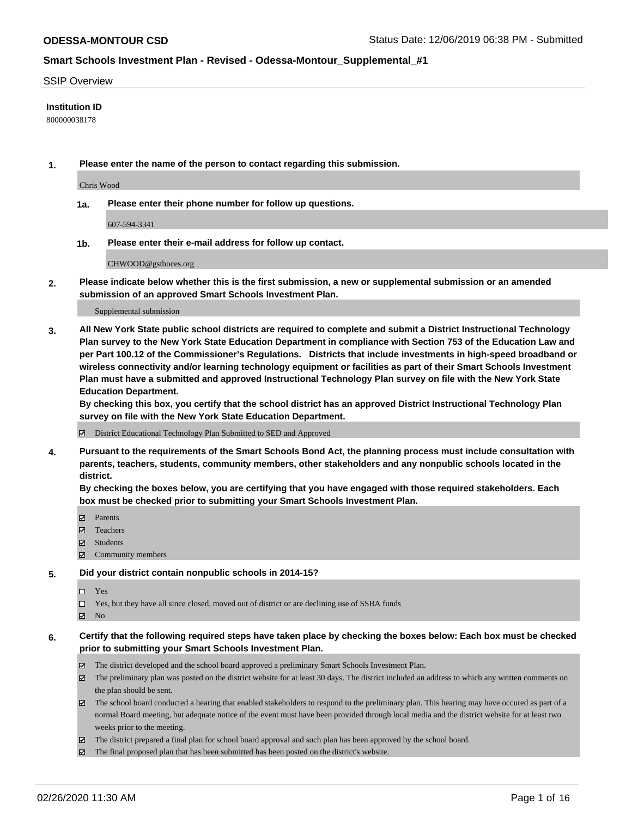#### SSIP Overview

### **Institution ID**

800000038178

**1. Please enter the name of the person to contact regarding this submission.**

Chris Wood

**1a. Please enter their phone number for follow up questions.**

607-594-3341

**1b. Please enter their e-mail address for follow up contact.**

CHWOOD@gstboces.org

**2. Please indicate below whether this is the first submission, a new or supplemental submission or an amended submission of an approved Smart Schools Investment Plan.**

#### Supplemental submission

**3. All New York State public school districts are required to complete and submit a District Instructional Technology Plan survey to the New York State Education Department in compliance with Section 753 of the Education Law and per Part 100.12 of the Commissioner's Regulations. Districts that include investments in high-speed broadband or wireless connectivity and/or learning technology equipment or facilities as part of their Smart Schools Investment Plan must have a submitted and approved Instructional Technology Plan survey on file with the New York State Education Department.** 

**By checking this box, you certify that the school district has an approved District Instructional Technology Plan survey on file with the New York State Education Department.**

District Educational Technology Plan Submitted to SED and Approved

**4. Pursuant to the requirements of the Smart Schools Bond Act, the planning process must include consultation with parents, teachers, students, community members, other stakeholders and any nonpublic schools located in the district.** 

**By checking the boxes below, you are certifying that you have engaged with those required stakeholders. Each box must be checked prior to submitting your Smart Schools Investment Plan.**

- **マ** Parents
- Teachers
- Students
- Community members

#### **5. Did your district contain nonpublic schools in 2014-15?**

 $\neg$  Yes

Yes, but they have all since closed, moved out of district or are declining use of SSBA funds

**Z** No

### **6. Certify that the following required steps have taken place by checking the boxes below: Each box must be checked prior to submitting your Smart Schools Investment Plan.**

- The district developed and the school board approved a preliminary Smart Schools Investment Plan.
- $\boxtimes$  The preliminary plan was posted on the district website for at least 30 days. The district included an address to which any written comments on the plan should be sent.
- $\boxtimes$  The school board conducted a hearing that enabled stakeholders to respond to the preliminary plan. This hearing may have occured as part of a normal Board meeting, but adequate notice of the event must have been provided through local media and the district website for at least two weeks prior to the meeting.
- The district prepared a final plan for school board approval and such plan has been approved by the school board.
- $\boxtimes$  The final proposed plan that has been submitted has been posted on the district's website.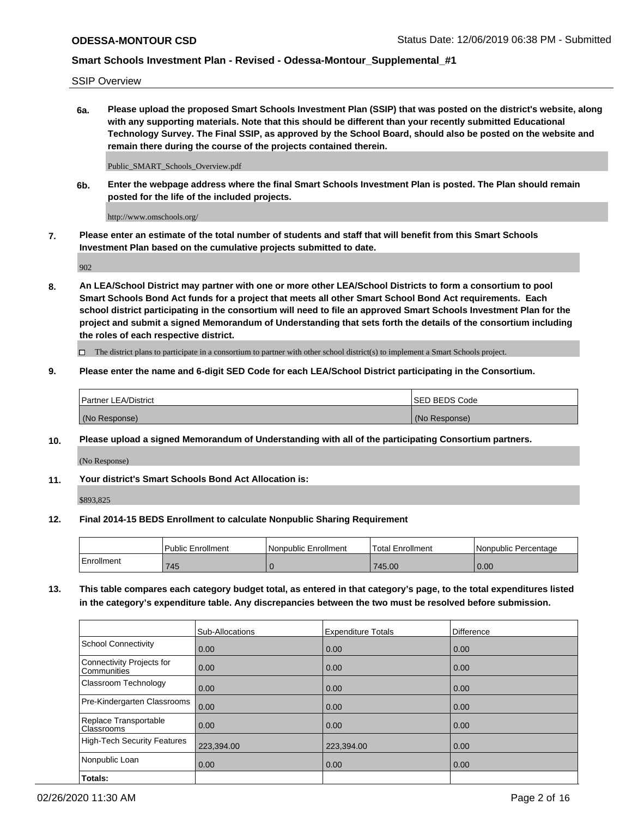SSIP Overview

**6a. Please upload the proposed Smart Schools Investment Plan (SSIP) that was posted on the district's website, along with any supporting materials. Note that this should be different than your recently submitted Educational Technology Survey. The Final SSIP, as approved by the School Board, should also be posted on the website and remain there during the course of the projects contained therein.**

Public\_SMART\_Schools\_Overview.pdf

**6b. Enter the webpage address where the final Smart Schools Investment Plan is posted. The Plan should remain posted for the life of the included projects.**

http://www.omschools.org/

**7. Please enter an estimate of the total number of students and staff that will benefit from this Smart Schools Investment Plan based on the cumulative projects submitted to date.**

902

**8. An LEA/School District may partner with one or more other LEA/School Districts to form a consortium to pool Smart Schools Bond Act funds for a project that meets all other Smart School Bond Act requirements. Each school district participating in the consortium will need to file an approved Smart Schools Investment Plan for the project and submit a signed Memorandum of Understanding that sets forth the details of the consortium including the roles of each respective district.**

 $\Box$  The district plans to participate in a consortium to partner with other school district(s) to implement a Smart Schools project.

## **9. Please enter the name and 6-digit SED Code for each LEA/School District participating in the Consortium.**

| Partner LEA/District | <b>ISED BEDS Code</b> |
|----------------------|-----------------------|
| (No Response)        | (No Response)         |

### **10. Please upload a signed Memorandum of Understanding with all of the participating Consortium partners.**

(No Response)

**11. Your district's Smart Schools Bond Act Allocation is:**

\$893,825

### **12. Final 2014-15 BEDS Enrollment to calculate Nonpublic Sharing Requirement**

|            | Public Enrollment | Nonpublic Enrollment | Total Enrollment | I Nonpublic Percentage |
|------------|-------------------|----------------------|------------------|------------------------|
| Enrollment | 745               |                      | 745.00           | 0.00                   |

**13. This table compares each category budget total, as entered in that category's page, to the total expenditures listed in the category's expenditure table. Any discrepancies between the two must be resolved before submission.**

|                                          | Sub-Allocations | <b>Expenditure Totals</b> | Difference |
|------------------------------------------|-----------------|---------------------------|------------|
| <b>School Connectivity</b>               | 0.00            | 0.00                      | 0.00       |
| Connectivity Projects for<br>Communities | 0.00            | 0.00                      | 0.00       |
| Classroom Technology                     | 0.00            | 0.00                      | 0.00       |
| Pre-Kindergarten Classrooms              | 0.00            | 0.00                      | 0.00       |
| Replace Transportable<br>Classrooms      | 0.00            | 0.00                      | 0.00       |
| <b>High-Tech Security Features</b>       | 223,394.00      | 223,394.00                | 0.00       |
| Nonpublic Loan                           | 0.00            | 0.00                      | 0.00       |
| Totals:                                  |                 |                           |            |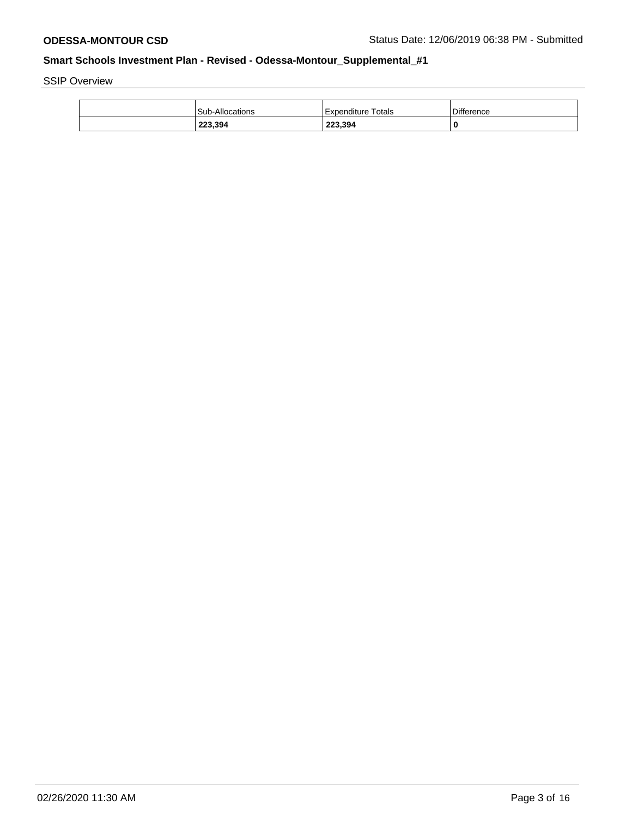SSIP Overview

| Sub-Allocations | Totals<br>Expenditure | <b>Difference</b> |
|-----------------|-----------------------|-------------------|
| 223,394         | 223,394               | 0                 |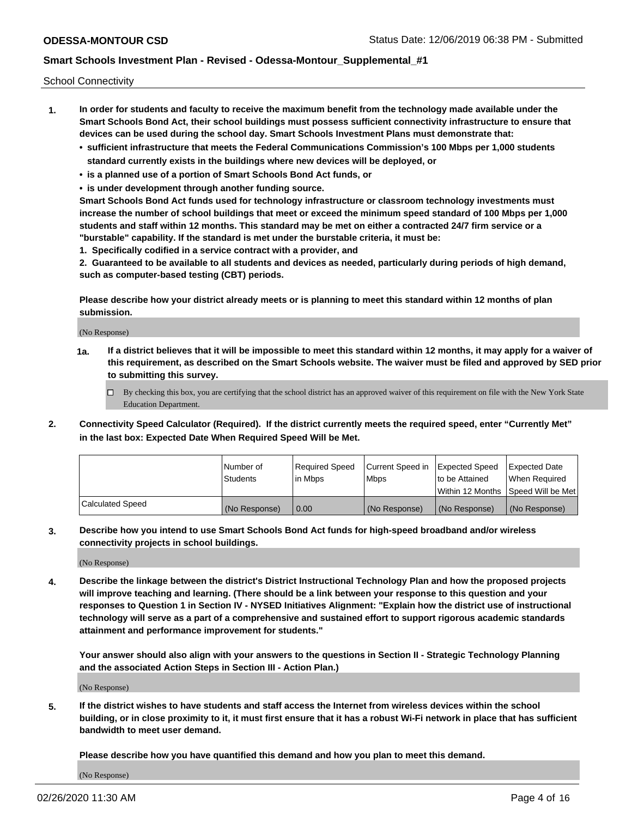School Connectivity

- **1. In order for students and faculty to receive the maximum benefit from the technology made available under the Smart Schools Bond Act, their school buildings must possess sufficient connectivity infrastructure to ensure that devices can be used during the school day. Smart Schools Investment Plans must demonstrate that:**
	- **• sufficient infrastructure that meets the Federal Communications Commission's 100 Mbps per 1,000 students standard currently exists in the buildings where new devices will be deployed, or**
	- **• is a planned use of a portion of Smart Schools Bond Act funds, or**
	- **• is under development through another funding source.**

**Smart Schools Bond Act funds used for technology infrastructure or classroom technology investments must increase the number of school buildings that meet or exceed the minimum speed standard of 100 Mbps per 1,000 students and staff within 12 months. This standard may be met on either a contracted 24/7 firm service or a "burstable" capability. If the standard is met under the burstable criteria, it must be:**

**1. Specifically codified in a service contract with a provider, and**

**2. Guaranteed to be available to all students and devices as needed, particularly during periods of high demand, such as computer-based testing (CBT) periods.**

**Please describe how your district already meets or is planning to meet this standard within 12 months of plan submission.**

(No Response)

**1a. If a district believes that it will be impossible to meet this standard within 12 months, it may apply for a waiver of this requirement, as described on the Smart Schools website. The waiver must be filed and approved by SED prior to submitting this survey.**

 $\Box$  By checking this box, you are certifying that the school district has an approved waiver of this requirement on file with the New York State Education Department.

**2. Connectivity Speed Calculator (Required). If the district currently meets the required speed, enter "Currently Met" in the last box: Expected Date When Required Speed Will be Met.**

|                  | l Number of     | Required Speed | Current Speed in | Expected Speed  | Expected Date                           |
|------------------|-----------------|----------------|------------------|-----------------|-----------------------------------------|
|                  | <b>Students</b> | In Mbps        | l Mbps           | to be Attained  | When Required                           |
|                  |                 |                |                  |                 | l Within 12 Months ISpeed Will be Met l |
| Calculated Speed | (No Response)   | 0.00           | (No Response)    | l (No Response) | l (No Response)                         |

**3. Describe how you intend to use Smart Schools Bond Act funds for high-speed broadband and/or wireless connectivity projects in school buildings.**

(No Response)

**4. Describe the linkage between the district's District Instructional Technology Plan and how the proposed projects will improve teaching and learning. (There should be a link between your response to this question and your responses to Question 1 in Section IV - NYSED Initiatives Alignment: "Explain how the district use of instructional technology will serve as a part of a comprehensive and sustained effort to support rigorous academic standards attainment and performance improvement for students."** 

**Your answer should also align with your answers to the questions in Section II - Strategic Technology Planning and the associated Action Steps in Section III - Action Plan.)**

(No Response)

**5. If the district wishes to have students and staff access the Internet from wireless devices within the school building, or in close proximity to it, it must first ensure that it has a robust Wi-Fi network in place that has sufficient bandwidth to meet user demand.**

**Please describe how you have quantified this demand and how you plan to meet this demand.**

(No Response)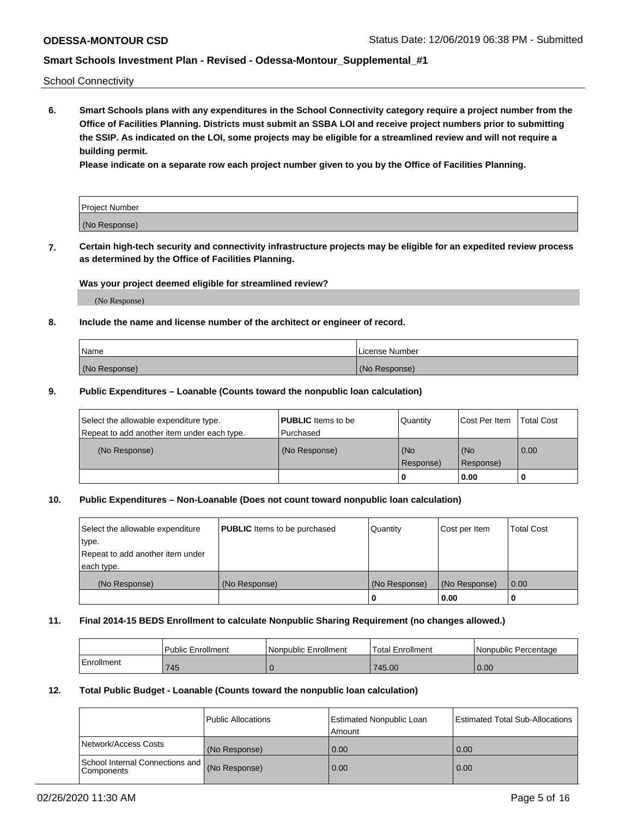School Connectivity

**6. Smart Schools plans with any expenditures in the School Connectivity category require a project number from the Office of Facilities Planning. Districts must submit an SSBA LOI and receive project numbers prior to submitting the SSIP. As indicated on the LOI, some projects may be eligible for a streamlined review and will not require a building permit.**

**Please indicate on a separate row each project number given to you by the Office of Facilities Planning.**

| Project Number |  |
|----------------|--|
| (No Response)  |  |

**7. Certain high-tech security and connectivity infrastructure projects may be eligible for an expedited review process as determined by the Office of Facilities Planning.**

### **Was your project deemed eligible for streamlined review?**

(No Response)

### **8. Include the name and license number of the architect or engineer of record.**

| Name          | License Number |
|---------------|----------------|
| (No Response) | (No Response)  |

### **9. Public Expenditures – Loanable (Counts toward the nonpublic loan calculation)**

| Select the allowable expenditure type.<br>Repeat to add another item under each type. | <b>PUBLIC</b> Items to be<br>l Purchased | Quantity           | Cost Per Item    | <b>Total Cost</b> |
|---------------------------------------------------------------------------------------|------------------------------------------|--------------------|------------------|-------------------|
| (No Response)                                                                         | (No Response)                            | l (No<br>Response) | (No<br>Response) | $\overline{0.00}$ |
|                                                                                       |                                          | 0                  | 0.00             |                   |

## **10. Public Expenditures – Non-Loanable (Does not count toward nonpublic loan calculation)**

| Select the allowable expenditure<br>type.<br>Repeat to add another item under<br>each type. | <b>PUBLIC</b> Items to be purchased | Quantity      | Cost per Item | <b>Total Cost</b> |
|---------------------------------------------------------------------------------------------|-------------------------------------|---------------|---------------|-------------------|
| (No Response)                                                                               | (No Response)                       | (No Response) | (No Response) | 0.00              |
|                                                                                             |                                     |               | 0.00          |                   |

#### **11. Final 2014-15 BEDS Enrollment to calculate Nonpublic Sharing Requirement (no changes allowed.)**

|            | Public Enrollment | l Nonpublic Enrollment | <b>Total Enrollment</b> | Nonpublic Percentage |
|------------|-------------------|------------------------|-------------------------|----------------------|
| Enrollment | 745               |                        | 745.00                  | 0.00                 |

### **12. Total Public Budget - Loanable (Counts toward the nonpublic loan calculation)**

|                                                      | Public Allocations | <b>Estimated Nonpublic Loan</b><br>Amount | Estimated Total Sub-Allocations |
|------------------------------------------------------|--------------------|-------------------------------------------|---------------------------------|
| Network/Access Costs                                 | (No Response)      | 0.00                                      | 0.00                            |
| School Internal Connections and<br><b>Components</b> | (No Response)      | 0.00                                      | 0.00                            |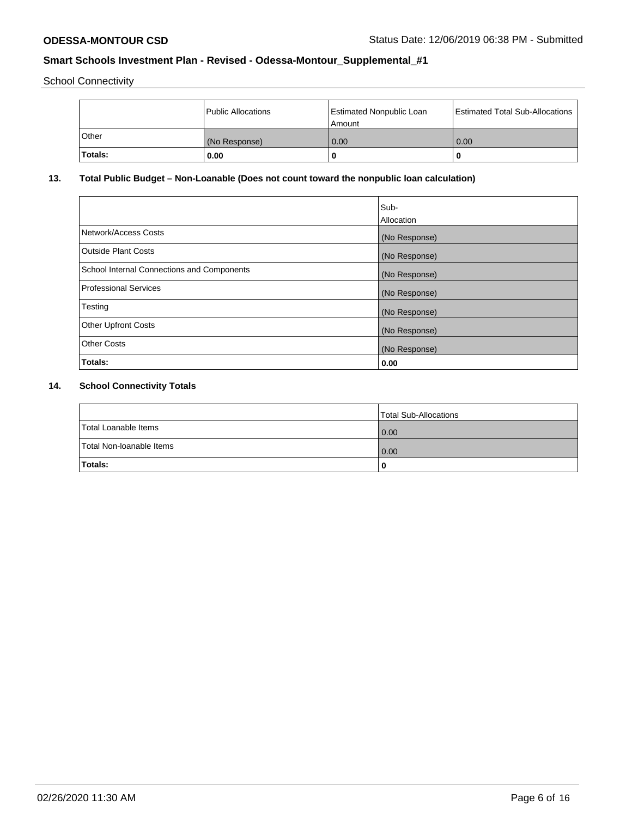School Connectivity

|              | <b>Public Allocations</b> | <b>Estimated Nonpublic Loan</b><br>l Amount | <b>Estimated Total Sub-Allocations</b> |
|--------------|---------------------------|---------------------------------------------|----------------------------------------|
| <b>Other</b> | (No Response)             | 0.00                                        | 0.00                                   |
| Totals:      | 0.00                      | 0                                           | ш                                      |

# **13. Total Public Budget – Non-Loanable (Does not count toward the nonpublic loan calculation)**

|                                                   | Sub-<br>Allocation |
|---------------------------------------------------|--------------------|
|                                                   |                    |
| Network/Access Costs                              | (No Response)      |
| <b>Outside Plant Costs</b>                        | (No Response)      |
| <b>School Internal Connections and Components</b> | (No Response)      |
| Professional Services                             | (No Response)      |
| Testing                                           | (No Response)      |
| <b>Other Upfront Costs</b>                        | (No Response)      |
| <b>Other Costs</b>                                | (No Response)      |
| <b>Totals:</b>                                    | 0.00               |

# **14. School Connectivity Totals**

|                          | Total Sub-Allocations |
|--------------------------|-----------------------|
| Total Loanable Items     | 0.00                  |
| Total Non-Ioanable Items | 0.00                  |
| Totals:                  |                       |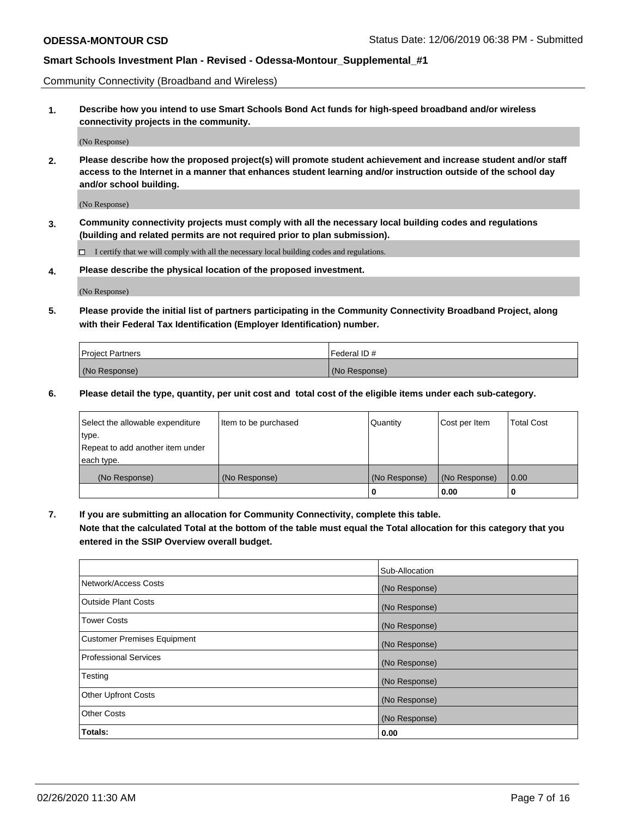Community Connectivity (Broadband and Wireless)

**1. Describe how you intend to use Smart Schools Bond Act funds for high-speed broadband and/or wireless connectivity projects in the community.**

(No Response)

**2. Please describe how the proposed project(s) will promote student achievement and increase student and/or staff access to the Internet in a manner that enhances student learning and/or instruction outside of the school day and/or school building.**

(No Response)

**3. Community connectivity projects must comply with all the necessary local building codes and regulations (building and related permits are not required prior to plan submission).**

 $\Box$  I certify that we will comply with all the necessary local building codes and regulations.

**4. Please describe the physical location of the proposed investment.**

(No Response)

**5. Please provide the initial list of partners participating in the Community Connectivity Broadband Project, along with their Federal Tax Identification (Employer Identification) number.**

| <b>Project Partners</b> | l Federal ID # |
|-------------------------|----------------|
| (No Response)           | (No Response)  |

**6. Please detail the type, quantity, per unit cost and total cost of the eligible items under each sub-category.**

| Select the allowable expenditure | Item to be purchased | Quantity      | Cost per Item | <b>Total Cost</b> |
|----------------------------------|----------------------|---------------|---------------|-------------------|
| type.                            |                      |               |               |                   |
| Repeat to add another item under |                      |               |               |                   |
| each type.                       |                      |               |               |                   |
| (No Response)                    | (No Response)        | (No Response) | (No Response) | 0.00              |
|                                  |                      | o             | 0.00          |                   |

**7. If you are submitting an allocation for Community Connectivity, complete this table.**

**Note that the calculated Total at the bottom of the table must equal the Total allocation for this category that you entered in the SSIP Overview overall budget.**

|                                    | Sub-Allocation |
|------------------------------------|----------------|
| Network/Access Costs               | (No Response)  |
| Outside Plant Costs                | (No Response)  |
| <b>Tower Costs</b>                 | (No Response)  |
| <b>Customer Premises Equipment</b> | (No Response)  |
| <b>Professional Services</b>       | (No Response)  |
| Testing                            | (No Response)  |
| <b>Other Upfront Costs</b>         | (No Response)  |
| <b>Other Costs</b>                 | (No Response)  |
| Totals:                            | 0.00           |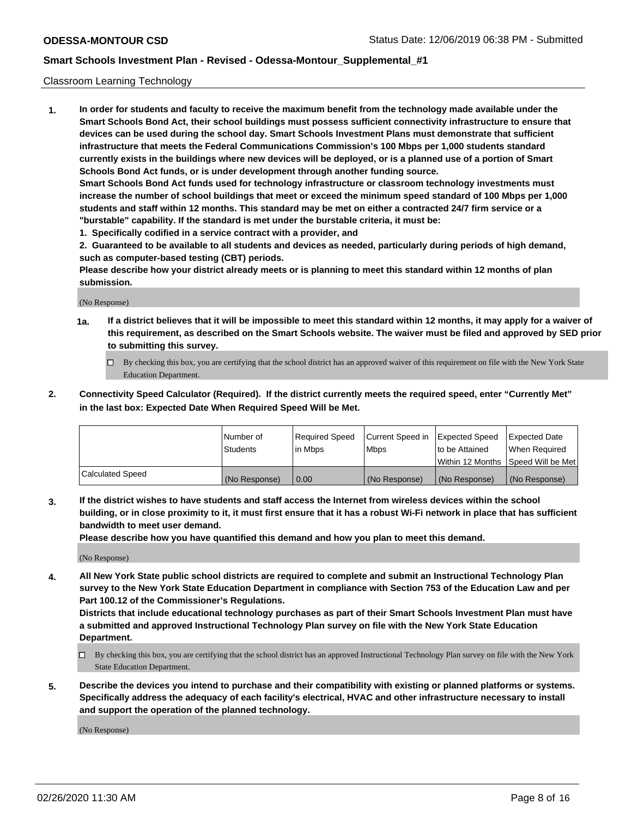### Classroom Learning Technology

**1. In order for students and faculty to receive the maximum benefit from the technology made available under the Smart Schools Bond Act, their school buildings must possess sufficient connectivity infrastructure to ensure that devices can be used during the school day. Smart Schools Investment Plans must demonstrate that sufficient infrastructure that meets the Federal Communications Commission's 100 Mbps per 1,000 students standard currently exists in the buildings where new devices will be deployed, or is a planned use of a portion of Smart Schools Bond Act funds, or is under development through another funding source. Smart Schools Bond Act funds used for technology infrastructure or classroom technology investments must increase the number of school buildings that meet or exceed the minimum speed standard of 100 Mbps per 1,000 students and staff within 12 months. This standard may be met on either a contracted 24/7 firm service or a**

**"burstable" capability. If the standard is met under the burstable criteria, it must be:**

**1. Specifically codified in a service contract with a provider, and**

**2. Guaranteed to be available to all students and devices as needed, particularly during periods of high demand, such as computer-based testing (CBT) periods.**

**Please describe how your district already meets or is planning to meet this standard within 12 months of plan submission.**

(No Response)

- **1a. If a district believes that it will be impossible to meet this standard within 12 months, it may apply for a waiver of this requirement, as described on the Smart Schools website. The waiver must be filed and approved by SED prior to submitting this survey.**
	- By checking this box, you are certifying that the school district has an approved waiver of this requirement on file with the New York State Education Department.
- **2. Connectivity Speed Calculator (Required). If the district currently meets the required speed, enter "Currently Met" in the last box: Expected Date When Required Speed Will be Met.**

|                  | l Number of     | Required Speed | Current Speed in | <b>Expected Speed</b> | <b>Expected Date</b>                |
|------------------|-----------------|----------------|------------------|-----------------------|-------------------------------------|
|                  | <b>Students</b> | l in Mbps      | l Mbps           | to be Attained        | When Required                       |
|                  |                 |                |                  |                       | Within 12 Months  Speed Will be Met |
| Calculated Speed | (No Response)   | 0.00           | (No Response)    | l (No Response)       | (No Response)                       |

**3. If the district wishes to have students and staff access the Internet from wireless devices within the school building, or in close proximity to it, it must first ensure that it has a robust Wi-Fi network in place that has sufficient bandwidth to meet user demand.**

**Please describe how you have quantified this demand and how you plan to meet this demand.**

(No Response)

**4. All New York State public school districts are required to complete and submit an Instructional Technology Plan survey to the New York State Education Department in compliance with Section 753 of the Education Law and per Part 100.12 of the Commissioner's Regulations.**

**Districts that include educational technology purchases as part of their Smart Schools Investment Plan must have a submitted and approved Instructional Technology Plan survey on file with the New York State Education Department.**

- By checking this box, you are certifying that the school district has an approved Instructional Technology Plan survey on file with the New York State Education Department.
- **5. Describe the devices you intend to purchase and their compatibility with existing or planned platforms or systems. Specifically address the adequacy of each facility's electrical, HVAC and other infrastructure necessary to install and support the operation of the planned technology.**

(No Response)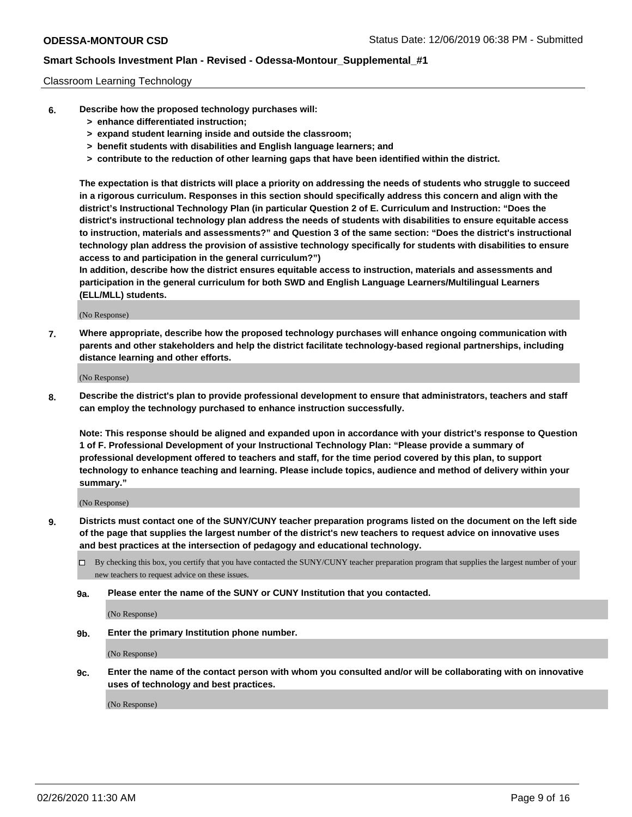### Classroom Learning Technology

- **6. Describe how the proposed technology purchases will:**
	- **> enhance differentiated instruction;**
	- **> expand student learning inside and outside the classroom;**
	- **> benefit students with disabilities and English language learners; and**
	- **> contribute to the reduction of other learning gaps that have been identified within the district.**

**The expectation is that districts will place a priority on addressing the needs of students who struggle to succeed in a rigorous curriculum. Responses in this section should specifically address this concern and align with the district's Instructional Technology Plan (in particular Question 2 of E. Curriculum and Instruction: "Does the district's instructional technology plan address the needs of students with disabilities to ensure equitable access to instruction, materials and assessments?" and Question 3 of the same section: "Does the district's instructional technology plan address the provision of assistive technology specifically for students with disabilities to ensure access to and participation in the general curriculum?")**

**In addition, describe how the district ensures equitable access to instruction, materials and assessments and participation in the general curriculum for both SWD and English Language Learners/Multilingual Learners (ELL/MLL) students.**

(No Response)

**7. Where appropriate, describe how the proposed technology purchases will enhance ongoing communication with parents and other stakeholders and help the district facilitate technology-based regional partnerships, including distance learning and other efforts.**

(No Response)

**8. Describe the district's plan to provide professional development to ensure that administrators, teachers and staff can employ the technology purchased to enhance instruction successfully.**

**Note: This response should be aligned and expanded upon in accordance with your district's response to Question 1 of F. Professional Development of your Instructional Technology Plan: "Please provide a summary of professional development offered to teachers and staff, for the time period covered by this plan, to support technology to enhance teaching and learning. Please include topics, audience and method of delivery within your summary."**

(No Response)

- **9. Districts must contact one of the SUNY/CUNY teacher preparation programs listed on the document on the left side of the page that supplies the largest number of the district's new teachers to request advice on innovative uses and best practices at the intersection of pedagogy and educational technology.**
	- By checking this box, you certify that you have contacted the SUNY/CUNY teacher preparation program that supplies the largest number of your new teachers to request advice on these issues.
	- **9a. Please enter the name of the SUNY or CUNY Institution that you contacted.**

(No Response)

**9b. Enter the primary Institution phone number.**

(No Response)

**9c. Enter the name of the contact person with whom you consulted and/or will be collaborating with on innovative uses of technology and best practices.**

(No Response)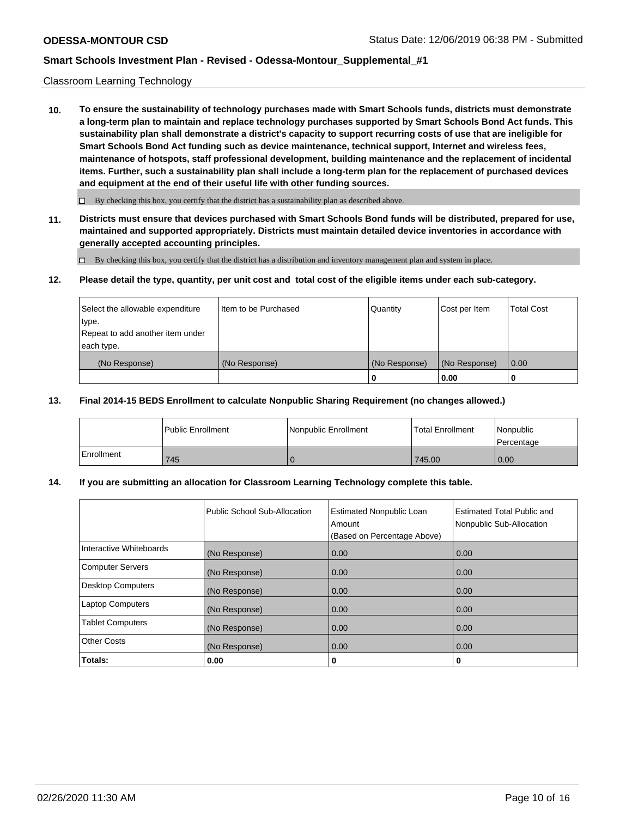### Classroom Learning Technology

**10. To ensure the sustainability of technology purchases made with Smart Schools funds, districts must demonstrate a long-term plan to maintain and replace technology purchases supported by Smart Schools Bond Act funds. This sustainability plan shall demonstrate a district's capacity to support recurring costs of use that are ineligible for Smart Schools Bond Act funding such as device maintenance, technical support, Internet and wireless fees, maintenance of hotspots, staff professional development, building maintenance and the replacement of incidental items. Further, such a sustainability plan shall include a long-term plan for the replacement of purchased devices and equipment at the end of their useful life with other funding sources.**

 $\Box$  By checking this box, you certify that the district has a sustainability plan as described above.

**11. Districts must ensure that devices purchased with Smart Schools Bond funds will be distributed, prepared for use, maintained and supported appropriately. Districts must maintain detailed device inventories in accordance with generally accepted accounting principles.**

By checking this box, you certify that the district has a distribution and inventory management plan and system in place.

#### **12. Please detail the type, quantity, per unit cost and total cost of the eligible items under each sub-category.**

| Select the allowable expenditure<br>type.<br>Repeat to add another item under | Item to be Purchased | Quantity      | Cost per Item | <b>Total Cost</b> |
|-------------------------------------------------------------------------------|----------------------|---------------|---------------|-------------------|
| each type.<br>(No Response)                                                   | (No Response)        | (No Response) | (No Response) | 0.00              |
|                                                                               |                      | 0             | 0.00          |                   |

### **13. Final 2014-15 BEDS Enrollment to calculate Nonpublic Sharing Requirement (no changes allowed.)**

|              | l Public Enrollment | <b>Nonpublic Enrollment</b> | <b>Total Enrollment</b> | Nonpublic<br>l Percentage |
|--------------|---------------------|-----------------------------|-------------------------|---------------------------|
| l Enrollment | 745                 |                             | 745.00                  | 0.00                      |

### **14. If you are submitting an allocation for Classroom Learning Technology complete this table.**

|                         | Public School Sub-Allocation | <b>Estimated Nonpublic Loan</b><br>Amount<br>(Based on Percentage Above) | Estimated Total Public and<br>Nonpublic Sub-Allocation |
|-------------------------|------------------------------|--------------------------------------------------------------------------|--------------------------------------------------------|
| Interactive Whiteboards | (No Response)                | 0.00                                                                     | 0.00                                                   |
| Computer Servers        | (No Response)                | 0.00                                                                     | 0.00                                                   |
| Desktop Computers       | (No Response)                | 0.00                                                                     | 0.00                                                   |
| <b>Laptop Computers</b> | (No Response)                | 0.00                                                                     | 0.00                                                   |
| <b>Tablet Computers</b> | (No Response)                | 0.00                                                                     | 0.00                                                   |
| Other Costs             | (No Response)                | 0.00                                                                     | 0.00                                                   |
| Totals:                 | 0.00                         | 0                                                                        | 0                                                      |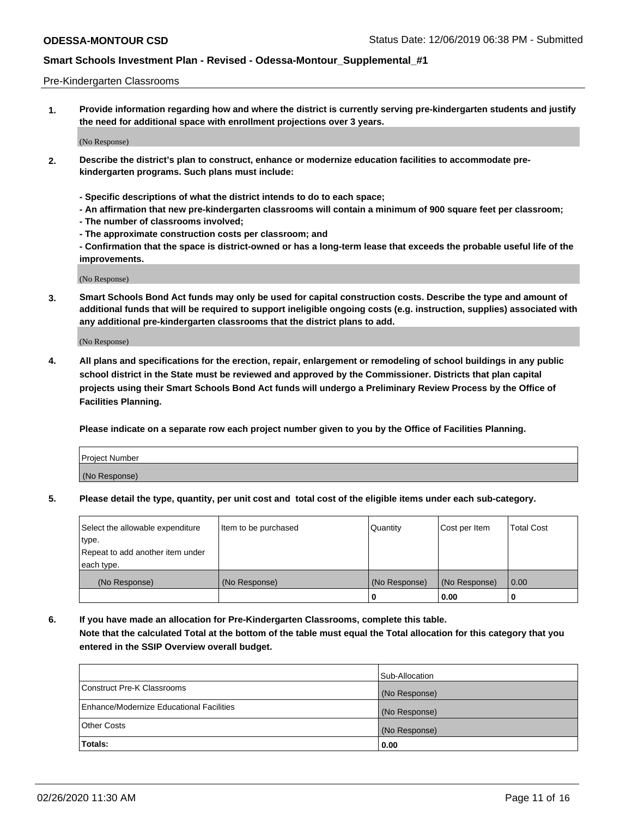### Pre-Kindergarten Classrooms

**1. Provide information regarding how and where the district is currently serving pre-kindergarten students and justify the need for additional space with enrollment projections over 3 years.**

(No Response)

- **2. Describe the district's plan to construct, enhance or modernize education facilities to accommodate prekindergarten programs. Such plans must include:**
	- **Specific descriptions of what the district intends to do to each space;**
	- **An affirmation that new pre-kindergarten classrooms will contain a minimum of 900 square feet per classroom;**
	- **The number of classrooms involved;**
	- **The approximate construction costs per classroom; and**
	- **Confirmation that the space is district-owned or has a long-term lease that exceeds the probable useful life of the improvements.**

(No Response)

**3. Smart Schools Bond Act funds may only be used for capital construction costs. Describe the type and amount of additional funds that will be required to support ineligible ongoing costs (e.g. instruction, supplies) associated with any additional pre-kindergarten classrooms that the district plans to add.**

(No Response)

**4. All plans and specifications for the erection, repair, enlargement or remodeling of school buildings in any public school district in the State must be reviewed and approved by the Commissioner. Districts that plan capital projects using their Smart Schools Bond Act funds will undergo a Preliminary Review Process by the Office of Facilities Planning.**

**Please indicate on a separate row each project number given to you by the Office of Facilities Planning.**

| Project Number |  |
|----------------|--|
| (No Response)  |  |
|                |  |

**5. Please detail the type, quantity, per unit cost and total cost of the eligible items under each sub-category.**

| Select the allowable expenditure | Item to be purchased | Quantity      | Cost per Item | <b>Total Cost</b> |
|----------------------------------|----------------------|---------------|---------------|-------------------|
| type.                            |                      |               |               |                   |
| Repeat to add another item under |                      |               |               |                   |
| each type.                       |                      |               |               |                   |
| (No Response)                    | (No Response)        | (No Response) | (No Response) | 0.00              |
|                                  |                      | o             | 0.00          | u                 |

**6. If you have made an allocation for Pre-Kindergarten Classrooms, complete this table. Note that the calculated Total at the bottom of the table must equal the Total allocation for this category that you entered in the SSIP Overview overall budget.**

| Totals:                                  | 0.00           |
|------------------------------------------|----------------|
| <b>Other Costs</b>                       | (No Response)  |
| Enhance/Modernize Educational Facilities | (No Response)  |
| Construct Pre-K Classrooms               | (No Response)  |
|                                          | Sub-Allocation |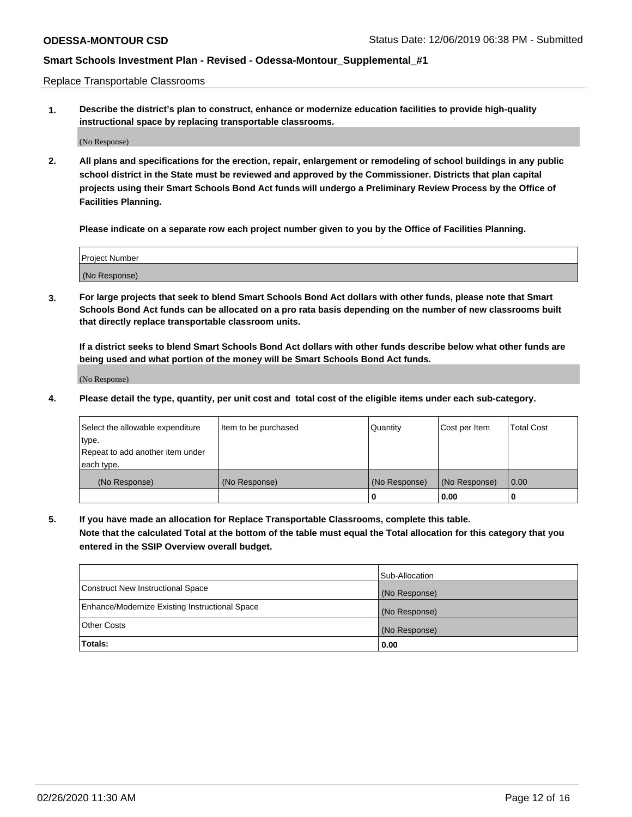Replace Transportable Classrooms

**1. Describe the district's plan to construct, enhance or modernize education facilities to provide high-quality instructional space by replacing transportable classrooms.**

(No Response)

**2. All plans and specifications for the erection, repair, enlargement or remodeling of school buildings in any public school district in the State must be reviewed and approved by the Commissioner. Districts that plan capital projects using their Smart Schools Bond Act funds will undergo a Preliminary Review Process by the Office of Facilities Planning.**

**Please indicate on a separate row each project number given to you by the Office of Facilities Planning.**

| Project Number |  |
|----------------|--|
|                |  |
|                |  |
|                |  |
|                |  |
| (No Response)  |  |
|                |  |
|                |  |
|                |  |

**3. For large projects that seek to blend Smart Schools Bond Act dollars with other funds, please note that Smart Schools Bond Act funds can be allocated on a pro rata basis depending on the number of new classrooms built that directly replace transportable classroom units.**

**If a district seeks to blend Smart Schools Bond Act dollars with other funds describe below what other funds are being used and what portion of the money will be Smart Schools Bond Act funds.**

(No Response)

**4. Please detail the type, quantity, per unit cost and total cost of the eligible items under each sub-category.**

| Select the allowable expenditure | Item to be purchased | Quantity      | Cost per Item | Total Cost |
|----------------------------------|----------------------|---------------|---------------|------------|
| ∣type.                           |                      |               |               |            |
| Repeat to add another item under |                      |               |               |            |
| each type.                       |                      |               |               |            |
| (No Response)                    | (No Response)        | (No Response) | (No Response) | 0.00       |
|                                  |                      | u             | 0.00          |            |

**5. If you have made an allocation for Replace Transportable Classrooms, complete this table. Note that the calculated Total at the bottom of the table must equal the Total allocation for this category that you entered in the SSIP Overview overall budget.**

|                                                | Sub-Allocation |
|------------------------------------------------|----------------|
| Construct New Instructional Space              | (No Response)  |
| Enhance/Modernize Existing Instructional Space | (No Response)  |
| Other Costs                                    | (No Response)  |
| Totals:                                        | 0.00           |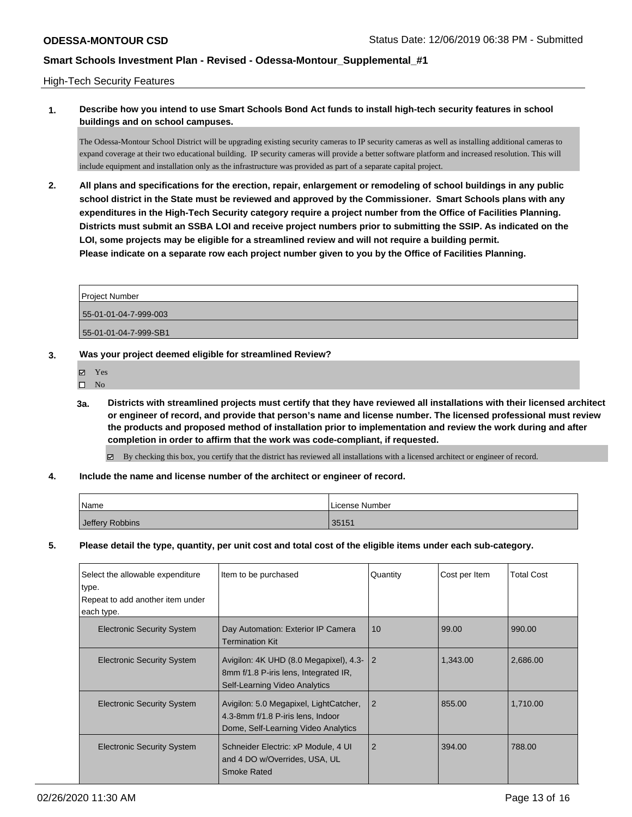### High-Tech Security Features

## **1. Describe how you intend to use Smart Schools Bond Act funds to install high-tech security features in school buildings and on school campuses.**

The Odessa-Montour School District will be upgrading existing security cameras to IP security cameras as well as installing additional cameras to expand coverage at their two educational building. IP security cameras will provide a better software platform and increased resolution. This will include equipment and installation only as the infrastructure was provided as part of a separate capital project.

**2. All plans and specifications for the erection, repair, enlargement or remodeling of school buildings in any public school district in the State must be reviewed and approved by the Commissioner. Smart Schools plans with any expenditures in the High-Tech Security category require a project number from the Office of Facilities Planning. Districts must submit an SSBA LOI and receive project numbers prior to submitting the SSIP. As indicated on the LOI, some projects may be eligible for a streamlined review and will not require a building permit. Please indicate on a separate row each project number given to you by the Office of Facilities Planning.**

| 55-01-01-04-7-999-003 |  |
|-----------------------|--|
| 55-01-01-04-7-999-SB1 |  |

- **3. Was your project deemed eligible for streamlined Review?**
	- Yes
	- $\square$  No
	- **3a. Districts with streamlined projects must certify that they have reviewed all installations with their licensed architect or engineer of record, and provide that person's name and license number. The licensed professional must review the products and proposed method of installation prior to implementation and review the work during and after completion in order to affirm that the work was code-compliant, if requested.**

By checking this box, you certify that the district has reviewed all installations with a licensed architect or engineer of record.

**4. Include the name and license number of the architect or engineer of record.**

| Name            | License Number |
|-----------------|----------------|
| Jeffery Robbins | 35151          |

**5. Please detail the type, quantity, per unit cost and total cost of the eligible items under each sub-category.**

| Select the allowable expenditure  | Item to be purchased                                                                                               | Quantity       | Cost per Item | <b>Total Cost</b> |
|-----------------------------------|--------------------------------------------------------------------------------------------------------------------|----------------|---------------|-------------------|
| type.                             |                                                                                                                    |                |               |                   |
| Repeat to add another item under  |                                                                                                                    |                |               |                   |
| each type.                        |                                                                                                                    |                |               |                   |
| <b>Electronic Security System</b> | Day Automation: Exterior IP Camera<br><b>Termination Kit</b>                                                       | 10             | 99.00         | 990.00            |
| <b>Electronic Security System</b> | Avigilon: 4K UHD (8.0 Megapixel), 4.3-<br>8mm f/1.8 P-iris lens, Integrated IR,<br>Self-Learning Video Analytics   | $\overline{2}$ | 1,343.00      | 2,686.00          |
| <b>Electronic Security System</b> | Avigilon: 5.0 Megapixel, LightCatcher,<br>4.3-8mm f/1.8 P-iris lens, Indoor<br>Dome, Self-Learning Video Analytics | $\overline{2}$ | 855.00        | 1.710.00          |
| <b>Electronic Security System</b> | Schneider Electric: xP Module, 4 UI<br>and 4 DO w/Overrides, USA, UL<br><b>Smoke Rated</b>                         | 2              | 394.00        | 788.00            |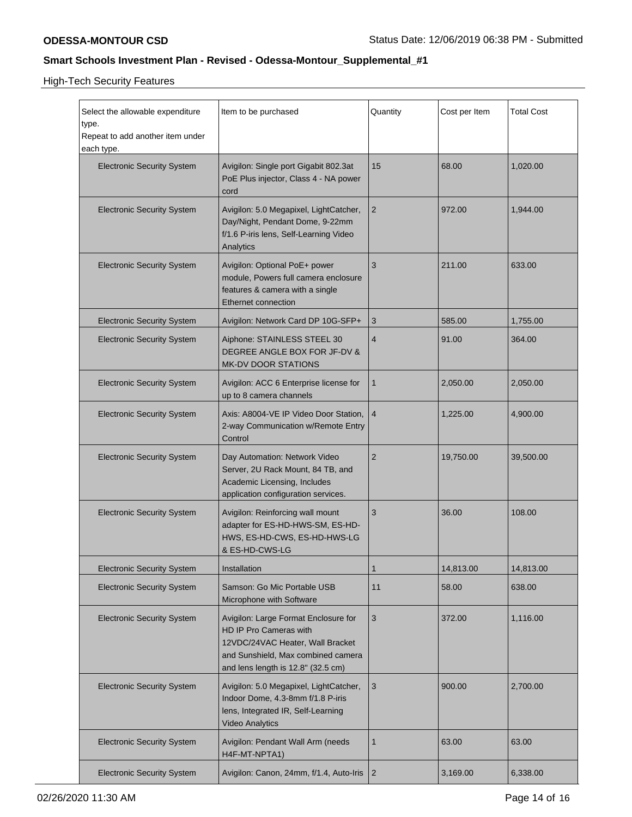High-Tech Security Features

| Select the allowable expenditure<br>type.<br>Repeat to add another item under<br>each type. | Item to be purchased                                                                                                                                                           | Quantity       | Cost per Item | <b>Total Cost</b> |
|---------------------------------------------------------------------------------------------|--------------------------------------------------------------------------------------------------------------------------------------------------------------------------------|----------------|---------------|-------------------|
| <b>Electronic Security System</b>                                                           | Avigilon: Single port Gigabit 802.3at<br>PoE Plus injector, Class 4 - NA power<br>cord                                                                                         | 15             | 68.00         | 1,020.00          |
| <b>Electronic Security System</b>                                                           | Avigilon: 5.0 Megapixel, LightCatcher,<br>Day/Night, Pendant Dome, 9-22mm<br>f/1.6 P-iris lens, Self-Learning Video<br>Analytics                                               | $\sqrt{2}$     | 972.00        | 1,944.00          |
| <b>Electronic Security System</b>                                                           | Avigilon: Optional PoE+ power<br>module, Powers full camera enclosure<br>features & camera with a single<br><b>Ethernet connection</b>                                         | 3              | 211.00        | 633.00            |
| <b>Electronic Security System</b>                                                           | Avigilon: Network Card DP 10G-SFP+                                                                                                                                             | 3              | 585.00        | 1,755.00          |
| <b>Electronic Security System</b>                                                           | Aiphone: STAINLESS STEEL 30<br>DEGREE ANGLE BOX FOR JF-DV &<br><b>MK-DV DOOR STATIONS</b>                                                                                      | $\overline{4}$ | 91.00         | 364.00            |
| <b>Electronic Security System</b>                                                           | Avigilon: ACC 6 Enterprise license for<br>up to 8 camera channels                                                                                                              | $\mathbf{1}$   | 2,050.00      | 2,050.00          |
| <b>Electronic Security System</b>                                                           | Axis: A8004-VE IP Video Door Station,<br>2-way Communication w/Remote Entry<br>Control                                                                                         | $\overline{4}$ | 1,225.00      | 4,900.00          |
| <b>Electronic Security System</b>                                                           | Day Automation: Network Video<br>Server, 2U Rack Mount, 84 TB, and<br>Academic Licensing, Includes<br>application configuration services.                                      | $\overline{2}$ | 19,750.00     | 39,500.00         |
| <b>Electronic Security System</b>                                                           | Avigilon: Reinforcing wall mount<br>adapter for ES-HD-HWS-SM, ES-HD-<br>HWS, ES-HD-CWS, ES-HD-HWS-LG<br>& ES-HD-CWS-LG                                                         | 3              | 36.00         | 108.00            |
| <b>Electronic Security System</b>                                                           | Installation                                                                                                                                                                   | 1              | 14,813.00     | 14,813.00         |
| <b>Electronic Security System</b>                                                           | Samson: Go Mic Portable USB<br>Microphone with Software                                                                                                                        | 11             | 58.00         | 638.00            |
| <b>Electronic Security System</b>                                                           | Avigilon: Large Format Enclosure for<br>HD IP Pro Cameras with<br>12VDC/24VAC Heater, Wall Bracket<br>and Sunshield, Max combined camera<br>and lens length is 12.8" (32.5 cm) | $\sqrt{3}$     | 372.00        | 1,116.00          |
| <b>Electronic Security System</b>                                                           | Avigilon: 5.0 Megapixel, LightCatcher,<br>Indoor Dome, 4.3-8mm f/1.8 P-iris<br>lens, Integrated IR, Self-Learning<br><b>Video Analytics</b>                                    | 3              | 900.00        | 2,700.00          |
| <b>Electronic Security System</b>                                                           | Avigilon: Pendant Wall Arm (needs<br>H4F-MT-NPTA1)                                                                                                                             | $\mathbf{1}$   | 63.00         | 63.00             |
| <b>Electronic Security System</b>                                                           | Avigilon: Canon, 24mm, f/1.4, Auto-Iris                                                                                                                                        | $\overline{2}$ | 3,169.00      | 6,338.00          |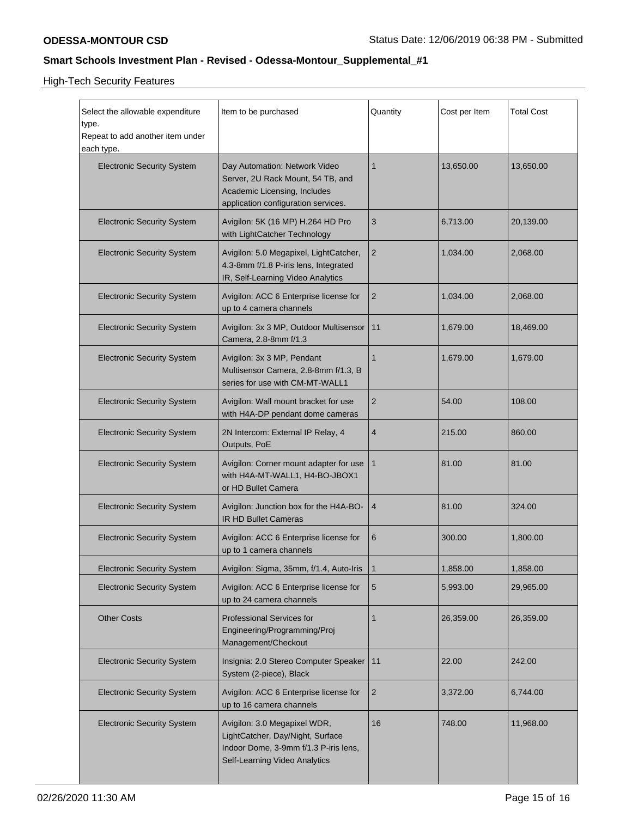High-Tech Security Features

| Select the allowable expenditure<br>type.<br>Repeat to add another item under<br>each type. | Item to be purchased                                                                                                                       | Quantity       | Cost per Item | <b>Total Cost</b> |
|---------------------------------------------------------------------------------------------|--------------------------------------------------------------------------------------------------------------------------------------------|----------------|---------------|-------------------|
| <b>Electronic Security System</b>                                                           | Day Automation: Network Video<br>Server, 2U Rack Mount, 54 TB, and<br>Academic Licensing, Includes<br>application configuration services.  | $\mathbf 1$    | 13,650.00     | 13,650.00         |
| <b>Electronic Security System</b>                                                           | Avigilon: 5K (16 MP) H.264 HD Pro<br>with LightCatcher Technology                                                                          | 3              | 6,713.00      | 20,139.00         |
| <b>Electronic Security System</b>                                                           | Avigilon: 5.0 Megapixel, LightCatcher,<br>4.3-8mm f/1.8 P-iris lens, Integrated<br>IR, Self-Learning Video Analytics                       | $\overline{2}$ | 1,034.00      | 2,068.00          |
| <b>Electronic Security System</b>                                                           | Avigilon: ACC 6 Enterprise license for<br>up to 4 camera channels                                                                          | 2              | 1,034.00      | 2,068.00          |
| <b>Electronic Security System</b>                                                           | Avigilon: 3x 3 MP, Outdoor Multisensor<br>Camera, 2.8-8mm f/1.3                                                                            | 11             | 1,679.00      | 18,469.00         |
| <b>Electronic Security System</b>                                                           | Avigilon: 3x 3 MP, Pendant<br>Multisensor Camera, 2.8-8mm f/1.3, B<br>series for use with CM-MT-WALL1                                      | $\mathbf 1$    | 1,679.00      | 1,679.00          |
| <b>Electronic Security System</b>                                                           | Avigilon: Wall mount bracket for use<br>with H4A-DP pendant dome cameras                                                                   | 2              | 54.00         | 108.00            |
| <b>Electronic Security System</b>                                                           | 2N Intercom: External IP Relay, 4<br>Outputs, PoE                                                                                          | 4              | 215.00        | 860.00            |
| <b>Electronic Security System</b>                                                           | Avigilon: Corner mount adapter for use<br>with H4A-MT-WALL1, H4-BO-JBOX1<br>or HD Bullet Camera                                            | $\mathbf{1}$   | 81.00         | 81.00             |
| <b>Electronic Security System</b>                                                           | Avigilon: Junction box for the H4A-BO-<br><b>IR HD Bullet Cameras</b>                                                                      | 4              | 81.00         | 324.00            |
| <b>Electronic Security System</b>                                                           | Avigilon: ACC 6 Enterprise license for<br>up to 1 camera channels                                                                          | 6              | 300.00        | 1,800.00          |
| <b>Electronic Security System</b>                                                           | Avigilon: Sigma, 35mm, f/1.4, Auto-Iris                                                                                                    | 1              | 1,858.00      | 1,858.00          |
| <b>Electronic Security System</b>                                                           | Avigilon: ACC 6 Enterprise license for<br>up to 24 camera channels                                                                         | 5              | 5,993.00      | 29,965.00         |
| <b>Other Costs</b>                                                                          | Professional Services for<br>Engineering/Programming/Proj<br>Management/Checkout                                                           | $\mathbf 1$    | 26,359.00     | 26,359.00         |
| <b>Electronic Security System</b>                                                           | Insignia: 2.0 Stereo Computer Speaker<br>System (2-piece), Black                                                                           | 11             | 22.00         | 242.00            |
| <b>Electronic Security System</b>                                                           | Avigilon: ACC 6 Enterprise license for<br>up to 16 camera channels                                                                         | $\overline{c}$ | 3,372.00      | 6,744.00          |
| <b>Electronic Security System</b>                                                           | Avigilon: 3.0 Megapixel WDR,<br>LightCatcher, Day/Night, Surface<br>Indoor Dome, 3-9mm f/1.3 P-iris lens,<br>Self-Learning Video Analytics | 16             | 748.00        | 11,968.00         |